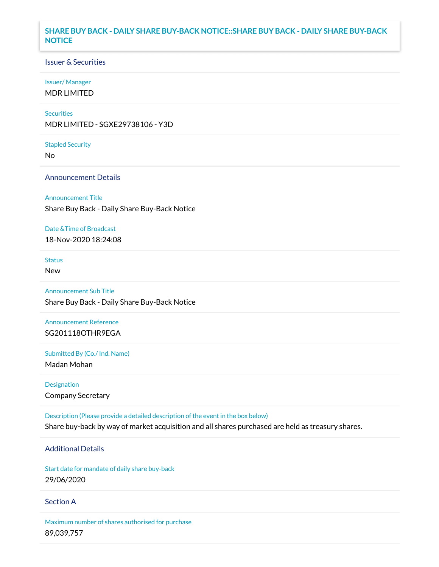## **SHARE BUY BACK - DAILY SHARE BUY-BACK NOTICE::SHARE BUY BACK - DAILY SHARE BUY-BACK NOTICE**

### Issuer & Securities

#### Issuer/ Manager

MDR LIMITED

#### **Securities**

MDR LIMITED - SGXE29738106 - Y3D

#### Stapled Security

No

### Announcement Details

#### Announcement Title

Share Buy Back - Daily Share Buy-Back Notice

#### Date &Time of Broadcast

18-Nov-2020 18:24:08

## Status

New

# Announcement Sub Title

Share Buy Back - Daily Share Buy-Back Notice

# Announcement Reference SG201118OTHR9EGA

Submitted By (Co./ Ind. Name)

Madan Mohan

Designation Company Secretary

Description (Please provide a detailed description of the event in the box below) Share buy-back by way of market acquisition and all shares purchased are held as treasury shares.

# Additional Details

Start date for mandate of daily share buy-back 29/06/2020

### Section A

Maximum number of shares authorised for purchase 89,039,757